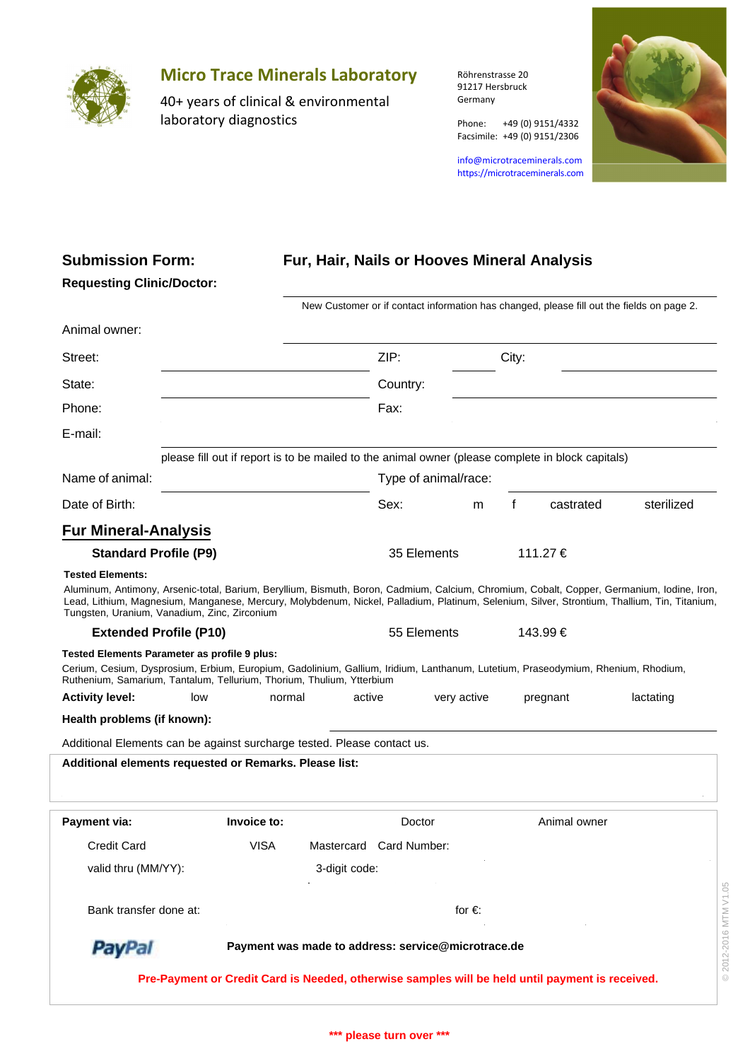

**Submission Form:**

**Requesting Clinic/Doctor:**

## **Micro Trace Minerals Laboratory**

40+ years of clinical & environmental laboratory diagnostics

Röhrenstrasse 20 91217 Hersbruck Germany

info@microtraceminerals.com <https://microtraceminerals.com>

Phone: +49 (0) 9151/4332 Facsimile: +49 (0) 9151/2306

## **Fur, Hair, Nails or Hooves Mineral Analysis**

| Animal owner:                                                                                                                                                                                                                                                                                                                                                         |                                                                                                   |                                                                                                 |                      |                |          |              |            |
|-----------------------------------------------------------------------------------------------------------------------------------------------------------------------------------------------------------------------------------------------------------------------------------------------------------------------------------------------------------------------|---------------------------------------------------------------------------------------------------|-------------------------------------------------------------------------------------------------|----------------------|----------------|----------|--------------|------------|
|                                                                                                                                                                                                                                                                                                                                                                       |                                                                                                   |                                                                                                 |                      |                |          |              |            |
| Street:                                                                                                                                                                                                                                                                                                                                                               |                                                                                                   | ZIP:                                                                                            | City:                |                |          |              |            |
| State:                                                                                                                                                                                                                                                                                                                                                                |                                                                                                   | Country:                                                                                        |                      |                |          |              |            |
| Phone:                                                                                                                                                                                                                                                                                                                                                                |                                                                                                   | Fax:                                                                                            |                      |                |          |              |            |
| E-mail:                                                                                                                                                                                                                                                                                                                                                               |                                                                                                   |                                                                                                 |                      |                |          |              |            |
|                                                                                                                                                                                                                                                                                                                                                                       | please fill out if report is to be mailed to the animal owner (please complete in block capitals) |                                                                                                 |                      |                |          |              |            |
| Name of animal:                                                                                                                                                                                                                                                                                                                                                       |                                                                                                   |                                                                                                 | Type of animal/race: |                |          |              |            |
| Date of Birth:                                                                                                                                                                                                                                                                                                                                                        |                                                                                                   |                                                                                                 | Sex:                 | m              | f        | castrated    | sterilized |
| <b>Fur Mineral-Analysis</b>                                                                                                                                                                                                                                                                                                                                           |                                                                                                   |                                                                                                 |                      |                |          |              |            |
| <b>Standard Profile (P9)</b>                                                                                                                                                                                                                                                                                                                                          |                                                                                                   | 35 Elements                                                                                     |                      |                | 111.27 € |              |            |
| <b>Tested Elements:</b><br>Aluminum, Antimony, Arsenic-total, Barium, Beryllium, Bismuth, Boron, Cadmium, Calcium, Chromium, Cobalt, Copper, Germanium, Iodine, Iron,<br>Lead, Lithium, Magnesium, Manganese, Mercury, Molybdenum, Nickel, Palladium, Platinum, Selenium, Silver, Strontium, Thallium, Tin, Titanium,<br>Tungsten, Uranium, Vanadium, Zinc, Zirconium |                                                                                                   |                                                                                                 |                      |                |          |              |            |
| <b>Extended Profile (P10)</b>                                                                                                                                                                                                                                                                                                                                         |                                                                                                   |                                                                                                 | 55 Elements          |                | 143.99 € |              |            |
| Tested Elements Parameter as profile 9 plus:<br>Cerium, Cesium, Dysprosium, Erbium, Europium, Gadolinium, Gallium, Iridium, Lanthanum, Lutetium, Praseodymium, Rhenium, Rhodium,<br>Ruthenium, Samarium, Tantalum, Tellurium, Thorium, Thulium, Ytterbium                                                                                                             |                                                                                                   |                                                                                                 |                      |                |          |              |            |
| <b>Activity level:</b><br>low                                                                                                                                                                                                                                                                                                                                         | normal                                                                                            | active                                                                                          |                      | very active    |          | pregnant     | lactating  |
| Health problems (if known):                                                                                                                                                                                                                                                                                                                                           |                                                                                                   |                                                                                                 |                      |                |          |              |            |
| Additional Elements can be against surcharge tested. Please contact us.                                                                                                                                                                                                                                                                                               |                                                                                                   |                                                                                                 |                      |                |          |              |            |
| Additional elements requested or Remarks. Please list:                                                                                                                                                                                                                                                                                                                |                                                                                                   |                                                                                                 |                      |                |          |              |            |
| Payment via:                                                                                                                                                                                                                                                                                                                                                          | Invoice to:                                                                                       |                                                                                                 | Doctor               |                |          | Animal owner |            |
| <b>Credit Card</b>                                                                                                                                                                                                                                                                                                                                                    | <b>VISA</b>                                                                                       | Mastercard Card Number:                                                                         |                      |                |          |              |            |
| valid thru (MM/YY):                                                                                                                                                                                                                                                                                                                                                   |                                                                                                   | 3-digit code:                                                                                   |                      |                |          |              |            |
| Bank transfer done at:                                                                                                                                                                                                                                                                                                                                                |                                                                                                   |                                                                                                 |                      | for $\epsilon$ |          |              |            |
| <b>PayPal</b>                                                                                                                                                                                                                                                                                                                                                         | Payment was made to address: service@microtrace.de                                                |                                                                                                 |                      |                |          |              |            |
|                                                                                                                                                                                                                                                                                                                                                                       |                                                                                                   | Pre-Payment or Credit Card is Needed, otherwise samples will be held until payment is received. |                      |                |          |              |            |